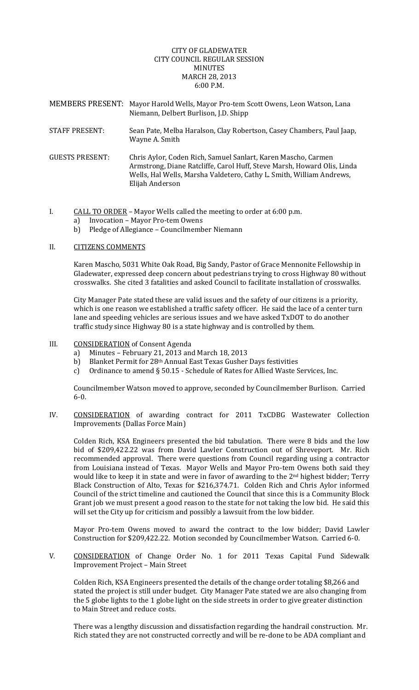### CITY OF GLADEWATER CITY COUNCIL REGULAR SESSION **MINIITES** MARCH 28, 2013 6:00 P.M.

| MEMBERS PRESENT: Mayor Harold Wells, Mayor Pro-tem Scott Owens, Leon Watson, Lana |
|-----------------------------------------------------------------------------------|
| Niemann, Delbert Burlison, J.D. Shipp                                             |
|                                                                                   |

- STAFF PRESENT: Sean Pate, Melba Haralson, Clay Robertson, Casey Chambers, Paul Jaap, Wayne A. Smith
- GUESTS PRESENT: Chris Aylor, Coden Rich, Samuel Sanlart, Karen Mascho, Carmen Armstrong, Diane Ratcliffe, Carol Huff, Steve Marsh, Howard Olis, Linda Wells, Hal Wells, Marsha Valdetero, Cathy L. Smith, William Andrews, Elijah Anderson
- I. CALL TO ORDER Mayor Wells called the meeting to order at 6:00 p.m.
	- a) Invocation Mayor Pro‐tem Owens
	- b) Pledge of Allegiance Councilmember Niemann

## II. CITIZENS COMMENTS

Karen Mascho, 5031 White Oak Road, Big Sandy, Pastor of Grace Mennonite Fellowship in Gladewater, expressed deep concern about pedestrians trying to cross Highway 80 without crosswalks. She cited 3 fatalities and asked Council to facilitate installation of crosswalks.

City Manager Pate stated these are valid issues and the safety of our citizens is a priority, which is one reason we established a traffic safety officer. He said the lace of a center turn lane and speeding vehicles are serious issues and we have asked TxDOT to do another traffic study since Highway 80 is a state highway and is controlled by them.

# III. CONSIDERATION of Consent Agenda

- a) Minutes February 21, 2013 and March 18, 2013
- b) Blanket Permit for 28<sup>th</sup> Annual East Texas Gusher Days festivities
- c) Ordinance to amend § 50.15 ‐ Schedule of Rates for Allied Waste Services, Inc.

Councilmember Watson moved to approve, seconded by Councilmember Burlison. Carried 6‐0.

IV. CONSIDERATION of awarding contract for 2011 TxCDBG Wastewater Collection Improvements (Dallas Force Main)

Colden Rich, KSA Engineers presented the bid tabulation. There were 8 bids and the low bid of \$209,422.22 was from David Lawler Construction out of Shreveport. Mr. Rich recommended approval. There were questions from Council regarding using a contractor from Louisiana instead of Texas. Mayor Wells and Mayor Pro-tem Owens both said they would like to keep it in state and were in favor of awarding to the 2<sup>nd</sup> highest bidder; Terry Black Construction of Alto, Texas for \$216,374.71. Colden Rich and Chris Aylor informed Council of the strict timeline and cautioned the Council that since this is a Community Block Grant job we must present a good reason to the state for not taking the low bid. He said this will set the City up for criticism and possibly a lawsuit from the low bidder.

Mayor Pro-tem Owens moved to award the contract to the low bidder; David Lawler Construction for \$209,422.22. Motion seconded by Councilmember Watson. Carried 6‐0.

V. CONSIDERATION of Change Order No. 1 for 2011 Texas Capital Fund Sidewalk Improvement Project – Main Street

Colden Rich, KSA Engineers presented the details of the change order totaling \$8,266 and stated the project is still under budget. City Manager Pate stated we are also changing from the 5 globe lights to the 1 globe light on the side streets in order to give greater distinction to Main Street and reduce costs.

There was a lengthy discussion and dissatisfaction regarding the handrail construction. Mr. Rich stated they are not constructed correctly and will be re‐done to be ADA compliant and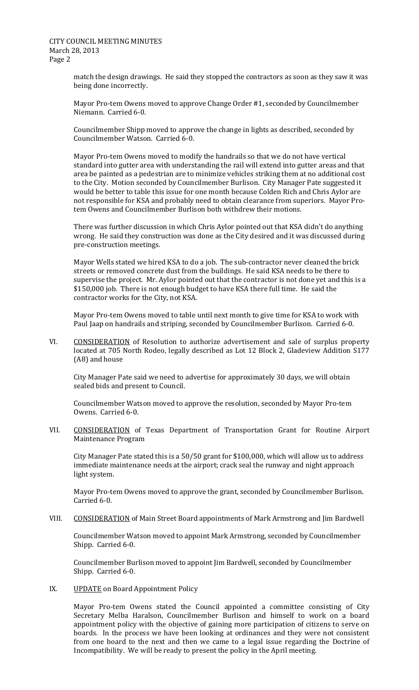match the design drawings. He said they stopped the contractors as soon as they saw it was being done incorrectly.

Mayor Pro-tem Owens moved to approve Change Order #1, seconded by Councilmember Niemann. Carried 6‐0.

Councilmember Shipp moved to approve the change in lights as described, seconded by Councilmember Watson. Carried 6‐0.

Mayor Pro-tem Owens moved to modify the handrails so that we do not have vertical standard into gutter area with understanding the rail will extend into gutter areas and that area be painted as a pedestrian are to minimize vehicles striking them at no additional cost to the City. Motion seconded by Councilmember Burlison. City Manager Pate suggested it would be better to table this issue for one month because Colden Rich and Chris Aylor are not responsible for KSA and probably need to obtain clearance from superiors. Mayor Pro‐ tem Owens and Councilmember Burlison both withdrew their motions.

There was further discussion in which Chris Aylor pointed out that KSA didn't do anything wrong. He said they construction was done as the City desired and it was discussed during pre‐construction meetings.

Mayor Wells stated we hired KSA to do a job. The sub‐contractor never cleaned the brick streets or removed concrete dust from the buildings. He said KSA needs to be there to supervise the project. Mr. Aylor pointed out that the contractor is not done yet and this is a \$150,000 job. There is not enough budget to have KSA there full time. He said the contractor works for the City, not KSA.

Mayor Pro‐tem Owens moved to table until next month to give time for KSA to work with Paul Jaap on handrails and striping, seconded by Councilmember Burlison. Carried 6‐0.

VI. CONSIDERATION of Resolution to authorize advertisement and sale of surplus property located at 705 North Rodeo, legally described as Lot 12 Block 2, Gladeview Addition S177 (A8) and house

City Manager Pate said we need to advertise for approximately 30 days, we will obtain sealed bids and present to Council.

Councilmember Watson moved to approve the resolution, seconded by Mayor Pro‐tem Owens. Carried 6‐0.

VII. CONSIDERATION of Texas Department of Transportation Grant for Routine Airport Maintenance Program

City Manager Pate stated this is a 50/50 grant for \$100,000, which will allow us to address immediate maintenance needs at the airport; crack seal the runway and night approach light system.

Mayor Pro‐tem Owens moved to approve the grant, seconded by Councilmember Burlison. Carried 6‐0.

VIII. CONSIDERATION of Main Street Board appointments of Mark Armstrong and Jim Bardwell

Councilmember Watson moved to appoint Mark Armstrong, seconded by Councilmember Shipp. Carried 6‐0.

Councilmember Burlison moved to appoint Jim Bardwell, seconded by Councilmember Shipp. Carried 6‐0.

IX. UPDATE on Board Appointment Policy

Mayor Pro-tem Owens stated the Council appointed a committee consisting of City Secretary Melba Haralson, Councilmember Burlison and himself to work on a board appointment policy with the objective of gaining more participation of citizens to serve on boards. In the process we have been looking at ordinances and they were not consistent from one board to the next and then we came to a legal issue regarding the Doctrine of Incompatibility. We will be ready to present the policy in the April meeting.